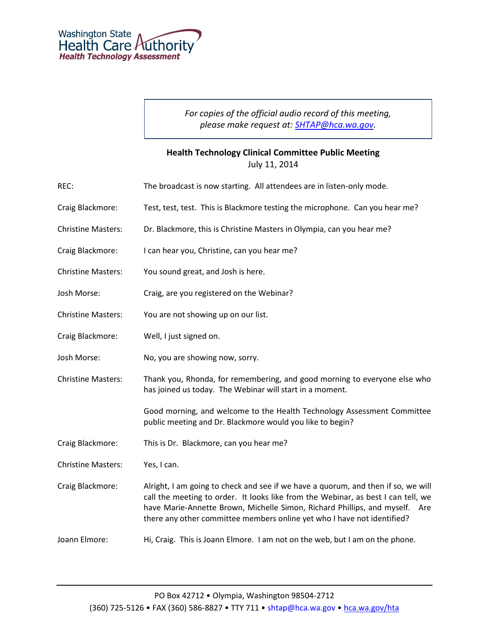*For copies of the official audio record of this meeting, please make request at: [SHTAP@hca.wa.gov.](mailto:SHTAP@hca.wa.gov)*

## **Health Technology Clinical Committee Public Meeting** July 11, 2014

| REC:                      | The broadcast is now starting. All attendees are in listen-only mode.                                                                                                                                                                                                                                                               |
|---------------------------|-------------------------------------------------------------------------------------------------------------------------------------------------------------------------------------------------------------------------------------------------------------------------------------------------------------------------------------|
| Craig Blackmore:          | Test, test, test. This is Blackmore testing the microphone. Can you hear me?                                                                                                                                                                                                                                                        |
| <b>Christine Masters:</b> | Dr. Blackmore, this is Christine Masters in Olympia, can you hear me?                                                                                                                                                                                                                                                               |
| Craig Blackmore:          | I can hear you, Christine, can you hear me?                                                                                                                                                                                                                                                                                         |
| <b>Christine Masters:</b> | You sound great, and Josh is here.                                                                                                                                                                                                                                                                                                  |
| Josh Morse:               | Craig, are you registered on the Webinar?                                                                                                                                                                                                                                                                                           |
| <b>Christine Masters:</b> | You are not showing up on our list.                                                                                                                                                                                                                                                                                                 |
| Craig Blackmore:          | Well, I just signed on.                                                                                                                                                                                                                                                                                                             |
| Josh Morse:               | No, you are showing now, sorry.                                                                                                                                                                                                                                                                                                     |
| <b>Christine Masters:</b> | Thank you, Rhonda, for remembering, and good morning to everyone else who<br>has joined us today. The Webinar will start in a moment.                                                                                                                                                                                               |
|                           | Good morning, and welcome to the Health Technology Assessment Committee<br>public meeting and Dr. Blackmore would you like to begin?                                                                                                                                                                                                |
| Craig Blackmore:          | This is Dr. Blackmore, can you hear me?                                                                                                                                                                                                                                                                                             |
| <b>Christine Masters:</b> | Yes, I can.                                                                                                                                                                                                                                                                                                                         |
| Craig Blackmore:          | Alright, I am going to check and see if we have a quorum, and then if so, we will<br>call the meeting to order. It looks like from the Webinar, as best I can tell, we<br>have Marie-Annette Brown, Michelle Simon, Richard Phillips, and myself.<br>Are<br>there any other committee members online yet who I have not identified? |
| Joann Elmore:             | Hi, Craig. This is Joann Elmore. I am not on the web, but I am on the phone.                                                                                                                                                                                                                                                        |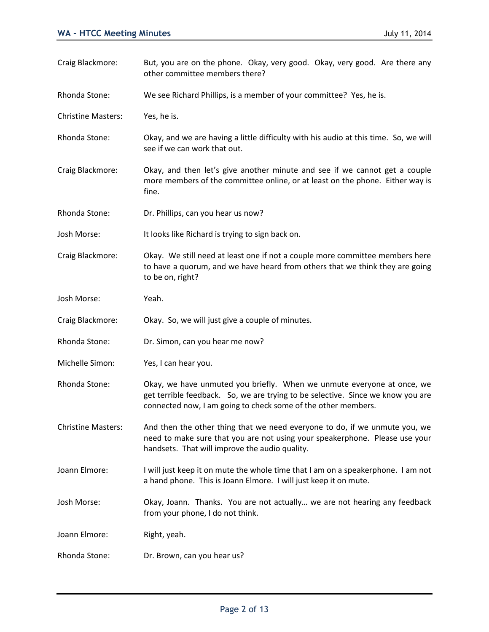Craig Blackmore: But, you are on the phone. Okay, very good. Okay, very good. Are there any other committee members there? Rhonda Stone: We see Richard Phillips, is a member of your committee? Yes, he is. Christine Masters: Yes, he is. Rhonda Stone: Okay, and we are having a little difficulty with his audio at this time. So, we will see if we can work that out. Craig Blackmore: Okay, and then let's give another minute and see if we cannot get a couple more members of the committee online, or at least on the phone. Either way is fine. Rhonda Stone: Dr. Phillips, can you hear us now? Josh Morse: It looks like Richard is trying to sign back on. Craig Blackmore: Okay. We still need at least one if not a couple more committee members here to have a quorum, and we have heard from others that we think they are going to be on, right? Josh Morse: Yeah. Craig Blackmore: Okay. So, we will just give a couple of minutes. Rhonda Stone: Dr. Simon, can you hear me now? Michelle Simon: Yes, I can hear you. Rhonda Stone: Okay, we have unmuted you briefly. When we unmute everyone at once, we get terrible feedback. So, we are trying to be selective. Since we know you are connected now, I am going to check some of the other members. Christine Masters: And then the other thing that we need everyone to do, if we unmute you, we need to make sure that you are not using your speakerphone. Please use your handsets. That will improve the audio quality. Joann Elmore: I will just keep it on mute the whole time that I am on a speakerphone. I am not a hand phone. This is Joann Elmore. I will just keep it on mute. Josh Morse: Okay, Joann. Thanks. You are not actually… we are not hearing any feedback from your phone, I do not think. Joann Elmore: Right, yeah. Rhonda Stone: Dr. Brown, can you hear us?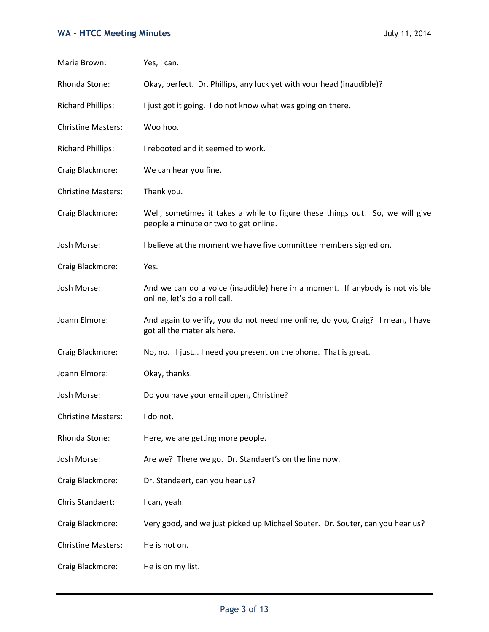| Marie Brown:              | Yes, I can.                                                                                                            |
|---------------------------|------------------------------------------------------------------------------------------------------------------------|
| Rhonda Stone:             | Okay, perfect. Dr. Phillips, any luck yet with your head (inaudible)?                                                  |
| <b>Richard Phillips:</b>  | I just got it going. I do not know what was going on there.                                                            |
| <b>Christine Masters:</b> | Woo hoo.                                                                                                               |
| <b>Richard Phillips:</b>  | I rebooted and it seemed to work.                                                                                      |
| Craig Blackmore:          | We can hear you fine.                                                                                                  |
| <b>Christine Masters:</b> | Thank you.                                                                                                             |
| Craig Blackmore:          | Well, sometimes it takes a while to figure these things out. So, we will give<br>people a minute or two to get online. |
| Josh Morse:               | I believe at the moment we have five committee members signed on.                                                      |
| Craig Blackmore:          | Yes.                                                                                                                   |
| Josh Morse:               | And we can do a voice (inaudible) here in a moment. If anybody is not visible<br>online, let's do a roll call.         |
| Joann Elmore:             | And again to verify, you do not need me online, do you, Craig? I mean, I have<br>got all the materials here.           |
| Craig Blackmore:          | No, no. I just I need you present on the phone. That is great.                                                         |
| Joann Elmore:             | Okay, thanks.                                                                                                          |
| Josh Morse:               | Do you have your email open, Christine?                                                                                |
| <b>Christine Masters:</b> | I do not.                                                                                                              |
| Rhonda Stone:             | Here, we are getting more people.                                                                                      |
| Josh Morse:               | Are we? There we go. Dr. Standaert's on the line now.                                                                  |
| Craig Blackmore:          | Dr. Standaert, can you hear us?                                                                                        |
| Chris Standaert:          | I can, yeah.                                                                                                           |
| Craig Blackmore:          | Very good, and we just picked up Michael Souter. Dr. Souter, can you hear us?                                          |
| <b>Christine Masters:</b> | He is not on.                                                                                                          |
| Craig Blackmore:          | He is on my list.                                                                                                      |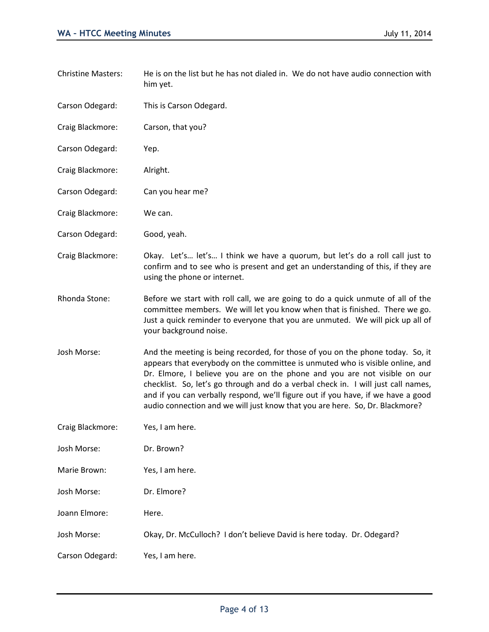| <b>Christine Masters:</b> | He is on the list but he has not dialed in. We do not have audio connection with<br>him yet.                                                                                                                                                                                                                                                                                                                                                                                                          |
|---------------------------|-------------------------------------------------------------------------------------------------------------------------------------------------------------------------------------------------------------------------------------------------------------------------------------------------------------------------------------------------------------------------------------------------------------------------------------------------------------------------------------------------------|
| Carson Odegard:           | This is Carson Odegard.                                                                                                                                                                                                                                                                                                                                                                                                                                                                               |
| Craig Blackmore:          | Carson, that you?                                                                                                                                                                                                                                                                                                                                                                                                                                                                                     |
| Carson Odegard:           | Yep.                                                                                                                                                                                                                                                                                                                                                                                                                                                                                                  |
| Craig Blackmore:          | Alright.                                                                                                                                                                                                                                                                                                                                                                                                                                                                                              |
| Carson Odegard:           | Can you hear me?                                                                                                                                                                                                                                                                                                                                                                                                                                                                                      |
| Craig Blackmore:          | We can.                                                                                                                                                                                                                                                                                                                                                                                                                                                                                               |
| Carson Odegard:           | Good, yeah.                                                                                                                                                                                                                                                                                                                                                                                                                                                                                           |
| Craig Blackmore:          | Okay. Let's let's I think we have a quorum, but let's do a roll call just to<br>confirm and to see who is present and get an understanding of this, if they are<br>using the phone or internet.                                                                                                                                                                                                                                                                                                       |
| Rhonda Stone:             | Before we start with roll call, we are going to do a quick unmute of all of the<br>committee members. We will let you know when that is finished. There we go.<br>Just a quick reminder to everyone that you are unmuted. We will pick up all of<br>your background noise.                                                                                                                                                                                                                            |
| Josh Morse:               | And the meeting is being recorded, for those of you on the phone today. So, it<br>appears that everybody on the committee is unmuted who is visible online, and<br>Dr. Elmore, I believe you are on the phone and you are not visible on our<br>checklist. So, let's go through and do a verbal check in. I will just call names,<br>and if you can verbally respond, we'll figure out if you have, if we have a good<br>audio connection and we will just know that you are here. So, Dr. Blackmore? |
| Craig Blackmore:          | Yes, I am here.                                                                                                                                                                                                                                                                                                                                                                                                                                                                                       |
| Josh Morse:               | Dr. Brown?                                                                                                                                                                                                                                                                                                                                                                                                                                                                                            |
| Marie Brown:              | Yes, I am here.                                                                                                                                                                                                                                                                                                                                                                                                                                                                                       |
| Josh Morse:               | Dr. Elmore?                                                                                                                                                                                                                                                                                                                                                                                                                                                                                           |
| Joann Elmore:             | Here.                                                                                                                                                                                                                                                                                                                                                                                                                                                                                                 |
| Josh Morse:               | Okay, Dr. McCulloch? I don't believe David is here today. Dr. Odegard?                                                                                                                                                                                                                                                                                                                                                                                                                                |
| Carson Odegard:           | Yes, I am here.                                                                                                                                                                                                                                                                                                                                                                                                                                                                                       |
|                           |                                                                                                                                                                                                                                                                                                                                                                                                                                                                                                       |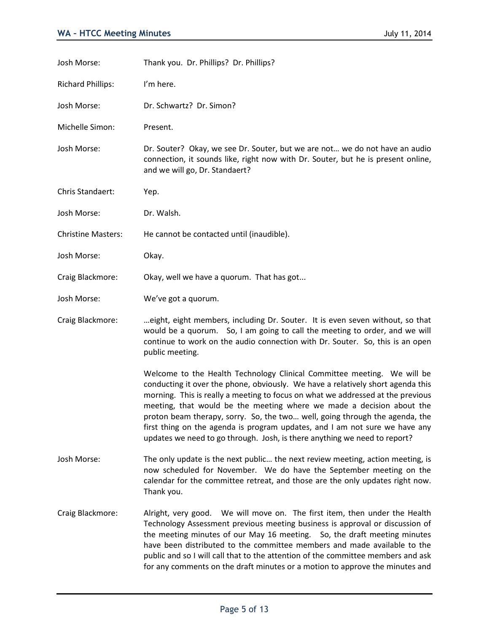| Josh Morse:               | Thank you. Dr. Phillips? Dr. Phillips?                                                                                                                                                                                                                                                                                                                                                                                                                                                                                                                            |
|---------------------------|-------------------------------------------------------------------------------------------------------------------------------------------------------------------------------------------------------------------------------------------------------------------------------------------------------------------------------------------------------------------------------------------------------------------------------------------------------------------------------------------------------------------------------------------------------------------|
| <b>Richard Phillips:</b>  | I'm here.                                                                                                                                                                                                                                                                                                                                                                                                                                                                                                                                                         |
| Josh Morse:               | Dr. Schwartz? Dr. Simon?                                                                                                                                                                                                                                                                                                                                                                                                                                                                                                                                          |
| Michelle Simon:           | Present.                                                                                                                                                                                                                                                                                                                                                                                                                                                                                                                                                          |
| Josh Morse:               | Dr. Souter? Okay, we see Dr. Souter, but we are not we do not have an audio<br>connection, it sounds like, right now with Dr. Souter, but he is present online,<br>and we will go, Dr. Standaert?                                                                                                                                                                                                                                                                                                                                                                 |
| Chris Standaert:          | Yep.                                                                                                                                                                                                                                                                                                                                                                                                                                                                                                                                                              |
| Josh Morse:               | Dr. Walsh.                                                                                                                                                                                                                                                                                                                                                                                                                                                                                                                                                        |
| <b>Christine Masters:</b> | He cannot be contacted until (inaudible).                                                                                                                                                                                                                                                                                                                                                                                                                                                                                                                         |
| Josh Morse:               | Okay.                                                                                                                                                                                                                                                                                                                                                                                                                                                                                                                                                             |
| Craig Blackmore:          | Okay, well we have a quorum. That has got                                                                                                                                                                                                                                                                                                                                                                                                                                                                                                                         |
| Josh Morse:               | We've got a quorum.                                                                                                                                                                                                                                                                                                                                                                                                                                                                                                                                               |
| Craig Blackmore:          | eight, eight members, including Dr. Souter. It is even seven without, so that<br>would be a quorum. So, I am going to call the meeting to order, and we will<br>continue to work on the audio connection with Dr. Souter. So, this is an open<br>public meeting.                                                                                                                                                                                                                                                                                                  |
|                           | Welcome to the Health Technology Clinical Committee meeting. We will be<br>conducting it over the phone, obviously. We have a relatively short agenda this<br>morning. This is really a meeting to focus on what we addressed at the previous<br>meeting, that would be the meeting where we made a decision about the<br>proton beam therapy, sorry. So, the two well, going through the agenda, the<br>first thing on the agenda is program updates, and I am not sure we have any<br>updates we need to go through. Josh, is there anything we need to report? |
| Josh Morse:               | The only update is the next public the next review meeting, action meeting, is<br>now scheduled for November. We do have the September meeting on the<br>calendar for the committee retreat, and those are the only updates right now.<br>Thank you.                                                                                                                                                                                                                                                                                                              |
| Craig Blackmore:          | Alright, very good. We will move on. The first item, then under the Health<br>Technology Assessment previous meeting business is approval or discussion of<br>the meeting minutes of our May 16 meeting. So, the draft meeting minutes<br>have been distributed to the committee members and made available to the<br>public and so I will call that to the attention of the committee members and ask<br>for any comments on the draft minutes or a motion to approve the minutes and                                                                            |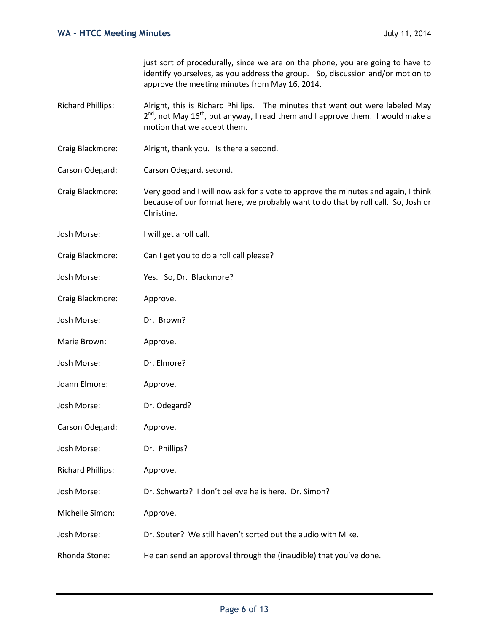just sort of procedurally, since we are on the phone, you are going to have to identify yourselves, as you address the group. So, discussion and/or motion to approve the meeting minutes from May 16, 2014.

- Richard Phillips: Alright, this is Richard Phillips. The minutes that went out were labeled May  $2^{nd}$ , not May 16<sup>th</sup>, but anyway, I read them and I approve them. I would make a motion that we accept them.
- Craig Blackmore: Alright, thank you. Is there a second.
- Carson Odegard: Carson Odegard, second.
- Craig Blackmore: Very good and I will now ask for a vote to approve the minutes and again, I think because of our format here, we probably want to do that by roll call. So, Josh or Christine.
- Josh Morse: I will get a roll call.
- Craig Blackmore: Can I get you to do a roll call please?
- Josh Morse: Yes. So, Dr. Blackmore?
- Craig Blackmore: Approve.
- Josh Morse: Dr. Brown?
- Marie Brown: Approve.
- Josh Morse: Dr. Elmore?
- Joann Elmore: Approve.
- Josh Morse: Dr. Odegard?
- Carson Odegard: Approve.
- Josh Morse: Dr. Phillips?
- Richard Phillips: Approve.
- Josh Morse: Dr. Schwartz? I don't believe he is here. Dr. Simon?
- Michelle Simon: Approve.
- Josh Morse: Dr. Souter? We still haven't sorted out the audio with Mike.
- Rhonda Stone: He can send an approval through the (inaudible) that you've done.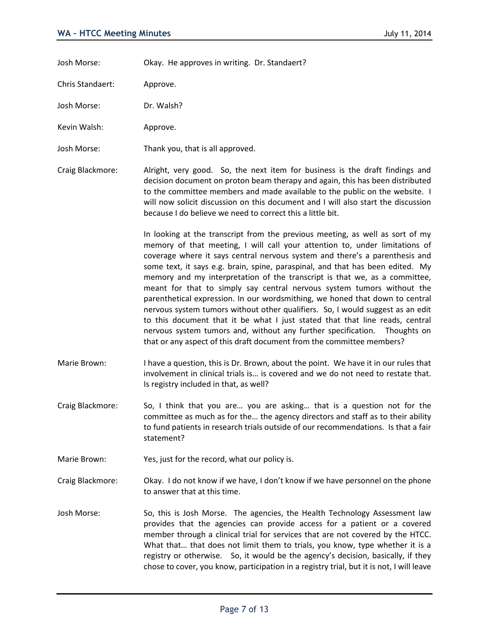Josh Morse: Okay. He approves in writing. Dr. Standaert?

Chris Standaert: Approve.

Josh Morse: Dr. Walsh?

Kevin Walsh: Approve.

Josh Morse: Thank you, that is all approved.

Craig Blackmore: Alright, very good. So, the next item for business is the draft findings and decision document on proton beam therapy and again, this has been distributed to the committee members and made available to the public on the website. I will now solicit discussion on this document and I will also start the discussion because I do believe we need to correct this a little bit.

> In looking at the transcript from the previous meeting, as well as sort of my memory of that meeting, I will call your attention to, under limitations of coverage where it says central nervous system and there's a parenthesis and some text, it says e.g. brain, spine, paraspinal, and that has been edited. My memory and my interpretation of the transcript is that we, as a committee, meant for that to simply say central nervous system tumors without the parenthetical expression. In our wordsmithing, we honed that down to central nervous system tumors without other qualifiers. So, I would suggest as an edit to this document that it be what I just stated that that line reads, central nervous system tumors and, without any further specification. Thoughts on that or any aspect of this draft document from the committee members?

- Marie Brown: I have a question, this is Dr. Brown, about the point. We have it in our rules that involvement in clinical trials is… is covered and we do not need to restate that. Is registry included in that, as well?
- Craig Blackmore: So, I think that you are… you are asking… that is a question not for the committee as much as for the… the agency directors and staff as to their ability to fund patients in research trials outside of our recommendations. Is that a fair statement?

Marie Brown: Yes, just for the record, what our policy is.

Craig Blackmore: Okay. I do not know if we have, I don't know if we have personnel on the phone to answer that at this time.

Josh Morse: So, this is Josh Morse. The agencies, the Health Technology Assessment law provides that the agencies can provide access for a patient or a covered member through a clinical trial for services that are not covered by the HTCC. What that… that does not limit them to trials, you know, type whether it is a registry or otherwise. So, it would be the agency's decision, basically, if they chose to cover, you know, participation in a registry trial, but it is not, I will leave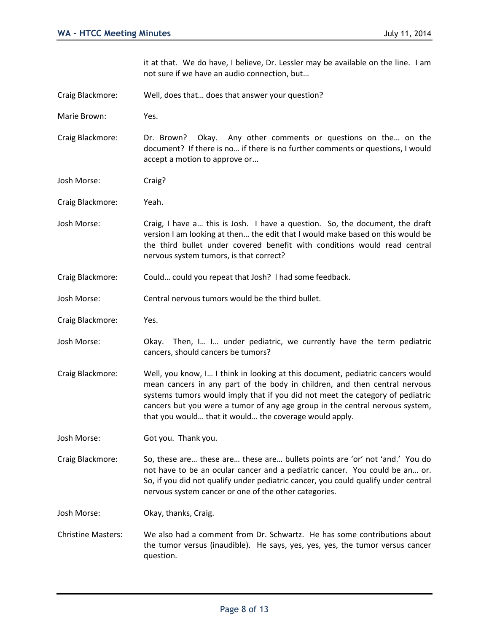it at that. We do have, I believe, Dr. Lessler may be available on the line. I am not sure if we have an audio connection, but…

- Craig Blackmore: Well, does that… does that answer your question?
- Marie Brown: Yes.

Craig Blackmore: Dr. Brown? Okay. Any other comments or questions on the… on the document? If there is no… if there is no further comments or questions, I would accept a motion to approve or...

- Josh Morse: Craig?
- Craig Blackmore: Yeah.
- Josh Morse: Craig, I have a… this is Josh. I have a question. So, the document, the draft version I am looking at then… the edit that I would make based on this would be the third bullet under covered benefit with conditions would read central nervous system tumors, is that correct?
- Craig Blackmore: Could… could you repeat that Josh? I had some feedback.
- Josh Morse: Central nervous tumors would be the third bullet.
- Craig Blackmore: Yes.
- Josh Morse: Okay. Then, I… I… under pediatric, we currently have the term pediatric cancers, should cancers be tumors?
- Craig Blackmore: Well, you know, I… I think in looking at this document, pediatric cancers would mean cancers in any part of the body in children, and then central nervous systems tumors would imply that if you did not meet the category of pediatric cancers but you were a tumor of any age group in the central nervous system, that you would… that it would… the coverage would apply.
- Josh Morse: Got you. Thank you.

Craig Blackmore: So, these are… these are… these are… bullets points are 'or' not 'and.' You do not have to be an ocular cancer and a pediatric cancer. You could be an… or. So, if you did not qualify under pediatric cancer, you could qualify under central nervous system cancer or one of the other categories.

Josh Morse: Okay, thanks, Craig.

Christine Masters: We also had a comment from Dr. Schwartz. He has some contributions about the tumor versus (inaudible). He says, yes, yes, yes, the tumor versus cancer question.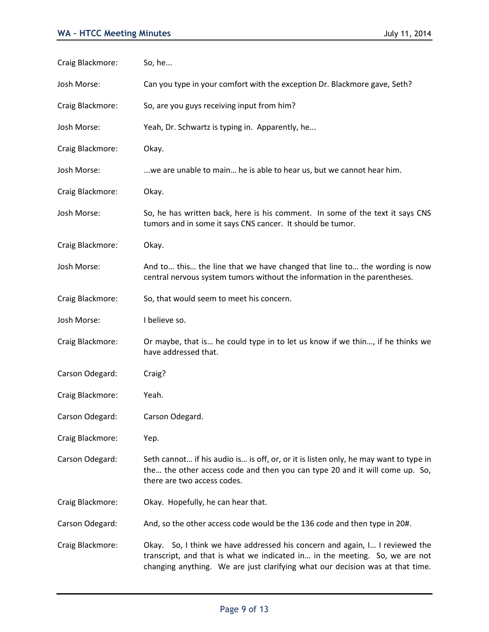| Craig Blackmore: | So, he                                                                                                                                                                                                                                      |
|------------------|---------------------------------------------------------------------------------------------------------------------------------------------------------------------------------------------------------------------------------------------|
| Josh Morse:      | Can you type in your comfort with the exception Dr. Blackmore gave, Seth?                                                                                                                                                                   |
| Craig Blackmore: | So, are you guys receiving input from him?                                                                                                                                                                                                  |
| Josh Morse:      | Yeah, Dr. Schwartz is typing in. Apparently, he                                                                                                                                                                                             |
| Craig Blackmore: | Okay.                                                                                                                                                                                                                                       |
| Josh Morse:      | we are unable to main he is able to hear us, but we cannot hear him.                                                                                                                                                                        |
| Craig Blackmore: | Okay.                                                                                                                                                                                                                                       |
| Josh Morse:      | So, he has written back, here is his comment. In some of the text it says CNS<br>tumors and in some it says CNS cancer. It should be tumor.                                                                                                 |
| Craig Blackmore: | Okay.                                                                                                                                                                                                                                       |
| Josh Morse:      | And to this the line that we have changed that line to the wording is now<br>central nervous system tumors without the information in the parentheses.                                                                                      |
| Craig Blackmore: | So, that would seem to meet his concern.                                                                                                                                                                                                    |
| Josh Morse:      | I believe so.                                                                                                                                                                                                                               |
| Craig Blackmore: | Or maybe, that is he could type in to let us know if we thin, if he thinks we<br>have addressed that.                                                                                                                                       |
| Carson Odegard:  | Craig?                                                                                                                                                                                                                                      |
| Craig Blackmore: | Yeah.                                                                                                                                                                                                                                       |
| Carson Odegard:  | Carson Odegard.                                                                                                                                                                                                                             |
| Craig Blackmore: | Yep.                                                                                                                                                                                                                                        |
| Carson Odegard:  | Seth cannot if his audio is is off, or, or it is listen only, he may want to type in<br>the the other access code and then you can type 20 and it will come up. So,<br>there are two access codes.                                          |
| Craig Blackmore: | Okay. Hopefully, he can hear that.                                                                                                                                                                                                          |
| Carson Odegard:  | And, so the other access code would be the 136 code and then type in 20#.                                                                                                                                                                   |
| Craig Blackmore: | Okay. So, I think we have addressed his concern and again, I I reviewed the<br>transcript, and that is what we indicated in in the meeting. So, we are not<br>changing anything. We are just clarifying what our decision was at that time. |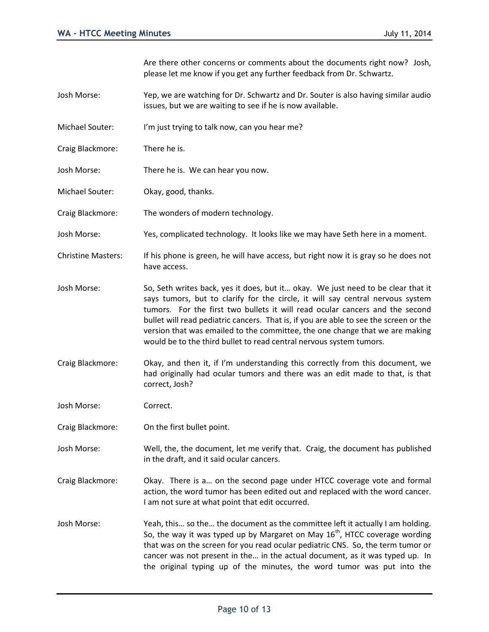Are there other concerns or comments about the documents right now? Josh, please let me know if you get any further feedback from Dr. Schwartz.

- Josh Morse: Yep, we are watching for Dr. Schwartz and Dr. Souter is also having similar audio issues, but we are waiting to see if he is now available.
- Michael Souter: I'm just trying to talk now, can you hear me?
- Craig Blackmore: There he is.
- Josh Morse: There he is. We can hear you now.
- Michael Souter: Okay, good, thanks.
- Craig Blackmore: The wonders of modern technology.
- Josh Morse: Yes, complicated technology. It looks like we may have Seth here in a moment.
- Christine Masters: If his phone is green, he will have access, but right now it is gray so he does not have access.
- Josh Morse: So, Seth writes back, yes it does, but it… okay. We just need to be clear that it says tumors, but to clarify for the circle, it will say central nervous system tumors. For the first two bullets it will read ocular cancers and the second bullet will read pediatric cancers. That is, if you are able to see the screen or the version that was emailed to the committee, the one change that we are making would be to the third bullet to read central nervous system tumors.
- Craig Blackmore: Okay, and then it, if I'm understanding this correctly from this document, we had originally had ocular tumors and there was an edit made to that, is that correct, Josh?

Josh Morse: Correct.

- Craig Blackmore: On the first bullet point.
- Josh Morse: Well, the, the document, let me verify that. Craig, the document has published in the draft, and it said ocular cancers.
- Craig Blackmore: Okay. There is a… on the second page under HTCC coverage vote and formal action, the word tumor has been edited out and replaced with the word cancer. I am not sure at what point that edit occurred.
- Josh Morse: Yeah, this… so the… the document as the committee left it actually I am holding. So, the way it was typed up by Margaret on May  $16<sup>th</sup>$ , HTCC coverage wording that was on the screen for you read ocular pediatric CNS. So, the term tumor or cancer was not present in the… in the actual document, as it was typed up. In the original typing up of the minutes, the word tumor was put into the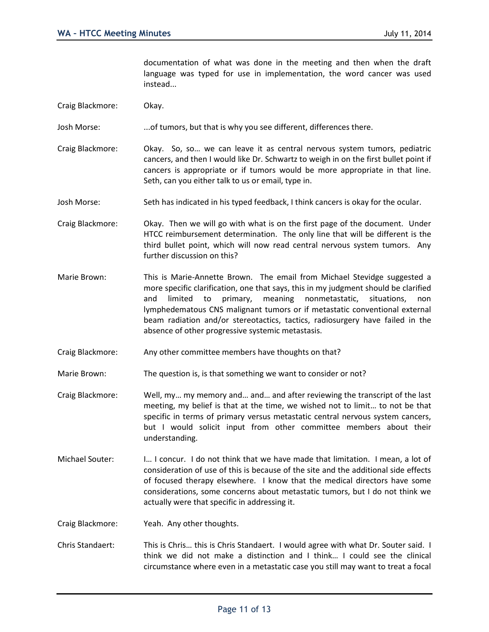documentation of what was done in the meeting and then when the draft language was typed for use in implementation, the word cancer was used instead...

- Craig Blackmore: Okay.
- Josh Morse: ...of tumors, but that is why you see different, differences there.
- Craig Blackmore: Okay. So, so… we can leave it as central nervous system tumors, pediatric cancers, and then I would like Dr. Schwartz to weigh in on the first bullet point if cancers is appropriate or if tumors would be more appropriate in that line. Seth, can you either talk to us or email, type in.
- Josh Morse: Seth has indicated in his typed feedback, I think cancers is okay for the ocular.
- Craig Blackmore: Okay. Then we will go with what is on the first page of the document. Under HTCC reimbursement determination. The only line that will be different is the third bullet point, which will now read central nervous system tumors. Any further discussion on this?
- Marie Brown: This is Marie-Annette Brown. The email from Michael Stevidge suggested a more specific clarification, one that says, this in my judgment should be clarified and limited to primary, meaning nonmetastatic, situations, non lymphedematous CNS malignant tumors or if metastatic conventional external beam radiation and/or stereotactics, tactics, radiosurgery have failed in the absence of other progressive systemic metastasis.
- Craig Blackmore: Any other committee members have thoughts on that?
- Marie Brown: The question is, is that something we want to consider or not?
- Craig Blackmore: Well, my… my memory and… and… and after reviewing the transcript of the last meeting, my belief is that at the time, we wished not to limit… to not be that specific in terms of primary versus metastatic central nervous system cancers, but I would solicit input from other committee members about their understanding.
- Michael Souter: I... I concur. I do not think that we have made that limitation. I mean, a lot of consideration of use of this is because of the site and the additional side effects of focused therapy elsewhere. I know that the medical directors have some considerations, some concerns about metastatic tumors, but I do not think we actually were that specific in addressing it.

Craig Blackmore: Yeah. Any other thoughts.

Chris Standaert: This is Chris… this is Chris Standaert. I would agree with what Dr. Souter said. I think we did not make a distinction and I think… I could see the clinical circumstance where even in a metastatic case you still may want to treat a focal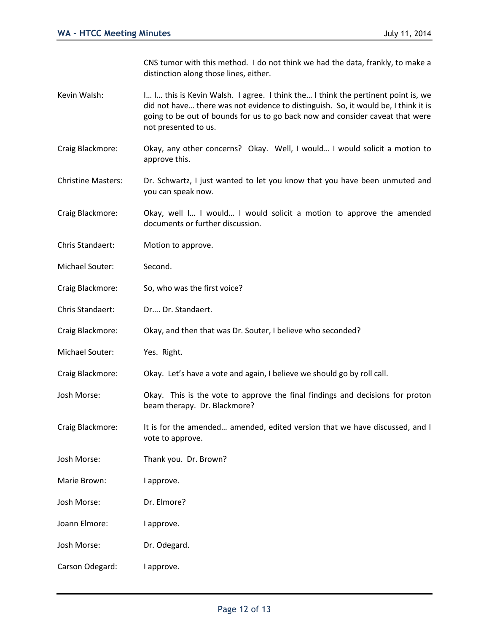CNS tumor with this method. I do not think we had the data, frankly, to make a distinction along those lines, either.

- Kevin Walsh: I… I… I… this is Kevin Walsh. I agree. I think the… I think the pertinent point is, we did not have… there was not evidence to distinguish. So, it would be, I think it is going to be out of bounds for us to go back now and consider caveat that were not presented to us.
- Craig Blackmore: Okay, any other concerns? Okay. Well, I would… I would solicit a motion to approve this.
- Christine Masters: Dr. Schwartz, I just wanted to let you know that you have been unmuted and you can speak now.
- Craig Blackmore: Okay, well I… I would… I would solicit a motion to approve the amended documents or further discussion.
- Chris Standaert: Motion to approve.
- Michael Souter: Second.
- Craig Blackmore: So, who was the first voice?
- Chris Standaert: Dr…. Dr. Standaert.
- Craig Blackmore: Okay, and then that was Dr. Souter, I believe who seconded?
- Michael Souter: Yes. Right.

Craig Blackmore: Okay. Let's have a vote and again, I believe we should go by roll call.

- Josh Morse: Okay. This is the vote to approve the final findings and decisions for proton beam therapy. Dr. Blackmore?
- Craig Blackmore: It is for the amended… amended, edited version that we have discussed, and I vote to approve.
- Josh Morse: Thank you. Dr. Brown?
- Marie Brown: lapprove.
- Josh Morse: Dr. Elmore?
- Joann Elmore: lapprove.
- Josh Morse: Dr. Odegard.
- Carson Odegard: lapprove.